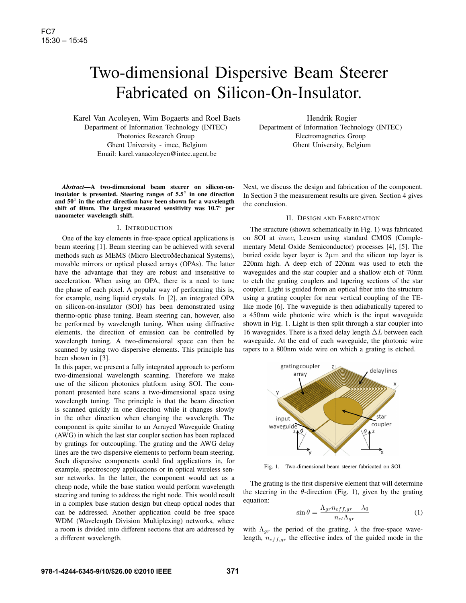# Two-dimensional Dispersive Beam Steerer Fabricated on Silicon-On-Insulator.

Karel Van Acoleyen, Wim Bogaerts and Roel Baets Department of Information Technology (INTEC) Photonics Research Group Ghent University - imec, Belgium Email: karel.vanacoleyen@intec.ugent.be

*Abstract***—A two-dimensional beam steerer on silicon-oninsulator is presented. Steering ranges of 5.5**◦ **in one direction and 50**◦ **in the other direction have been shown for a wavelength shift of 40nm. The largest measured sensitivity was 10.7**◦ **per nanometer wavelength shift.**

# I. INTRODUCTION

One of the key elements in free-space optical applications is beam steering [1]. Beam steering can be achieved with several methods such as MEMS (Micro ElectroMechanical Systems), movable mirrors or optical phased arrays (OPAs). The latter have the advantage that they are robust and insensitive to acceleration. When using an OPA, there is a need to tune the phase of each pixel. A popular way of performing this is, for example, using liquid crystals. In [2], an integrated OPA on silicon-on-insulator (SOI) has been demonstrated using thermo-optic phase tuning. Beam steering can, however, also be performed by wavelength tuning. When using diffractive elements, the direction of emission can be controlled by wavelength tuning. A two-dimensional space can then be scanned by using two dispersive elements. This principle has been shown in [3].

In this paper, we present a fully integrated approach to perform two-dimensional wavelength scanning. Therefore we make use of the silicon photonics platform using SOI. The component presented here scans a two-dimensional space using wavelength tuning. The principle is that the beam direction is scanned quickly in one direction while it changes slowly in the other direction when changing the wavelength. The component is quite similar to an Arrayed Waveguide Grating (AWG) in which the last star coupler section has been replaced by gratings for outcoupling. The grating and the AWG delay lines are the two dispersive elements to perform beam steering. Such dispersive components could find applications in, for example, spectroscopy applications or in optical wireless sensor networks. In the latter, the component would act as a cheap node, while the base station would perform wavelength steering and tuning to address the right node. This would result in a complex base station design but cheap optical nodes that can be addressed. Another application could be free space WDM (Wavelength Division Multiplexing) networks, where a room is divided into different sections that are addressed by a different wavelength.

Hendrik Rogier Department of Information Technology (INTEC) Electromagnetics Group Ghent University, Belgium

Next, we discuss the design and fabrication of the component. In Section 3 the measurement results are given. Section 4 gives the conclusion.

# II. DESIGN AND FABRICATION

The structure (shown schematically in Fig. 1) was fabricated on SOI at imec, Leuven using standard CMOS (Complementary Metal Oxide Semiconductor) processes [4], [5]. The buried oxide layer layer is 2µm and the silicon top layer is 220nm high. A deep etch of 220nm was used to etch the waveguides and the star coupler and a shallow etch of 70nm to etch the grating couplers and tapering sections of the star coupler. Light is guided from an optical fiber into the structure using a grating coupler for near vertical coupling of the TElike mode [6]. The waveguide is then adiabatically tapered to a 450nm wide photonic wire which is the input waveguide shown in Fig. 1. Light is then split through a star coupler into 16 waveguides. There is a fixed delay length  $\Delta L$  between each waveguide. At the end of each waveguide, the photonic wire tapers to a 800nm wide wire on which a grating is etched.



Fig. 1. Two-dimensional beam steerer fabricated on SOI.

The grating is the first dispersive element that will determine the steering in the  $\theta$ -direction (Fig. 1), given by the grating equation:

$$
\sin \theta = \frac{\Lambda_{gr} n_{eff,gr} - \lambda_0}{n_{ct} \Lambda_{gr}} \tag{1}
$$

with  $\Lambda_{gr}$  the period of the grating,  $\lambda$  the free-space wavelength,  $n_{eff,qr}$  the effective index of the guided mode in the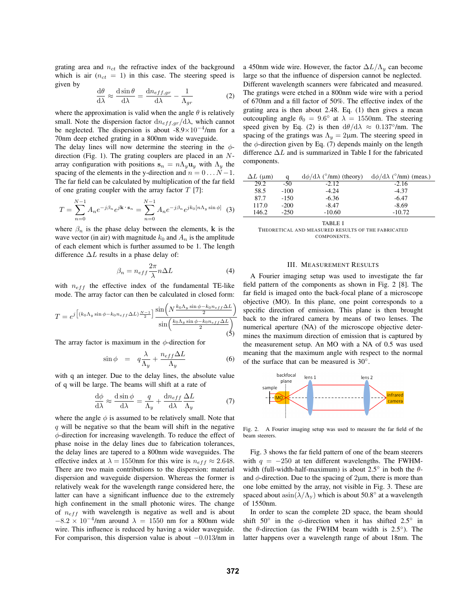grating area and  $n_{ct}$  the refractive index of the background which is air  $(n_{ct} = 1)$  in this case. The steering speed is given by

$$
\frac{d\theta}{d\lambda} \approx \frac{d\sin\theta}{d\lambda} = \frac{dn_{eff,gr}}{d\lambda} - \frac{1}{\Lambda_{gr}} \tag{2}
$$

where the approximation is valid when the angle  $\theta$  is relatively small. Note the dispersion factor  $dn_{eff,qr}/d\lambda$ , which cannot be neglected. The dispersion is about  $-8.9 \times 10^{-4}$ /nm for a 70nm deep etched grating in a 800nm wide waveguide.

The delay lines will now determine the steering in the  $\phi$ direction (Fig. 1). The grating couplers are placed in an  $N$ array configuration with positions  $s_n = n\Lambda_y \mathbf{u}_y$  with  $\Lambda_y$  the spacing of the elements in the y-direction and  $n = 0 \dots N-1$ . The far field can be calculated by multiplication of the far field of one grating coupler with the array factor  $T$  [7]:

$$
T = \sum_{n=0}^{N-1} A_n e^{-j\beta_n} e^{j\mathbf{k} \cdot \mathbf{s}_n} = \sum_{n=0}^{N-1} A_n e^{-j\beta_n} e^{jk_0 [n\Lambda_y \sin \phi]} \tag{3}
$$

where  $\beta_n$  is the phase delay between the elements, k is the wave vector (in air) with magnitude  $k_0$  and  $A_n$  is the amplitude of each element which is further assumed to be 1. The length difference  $\Delta L$  results in a phase delay of:

$$
\beta_n = n_{eff} \frac{2\pi}{\lambda} n \Delta L \tag{4}
$$

with  $n_{eff}$  the effective index of the fundamental TE-like mode. The array factor can then be calculated in closed form:

$$
T = e^{j \left[ (k_0 \Lambda_y \sin \phi - k_0 n_{eff} \Delta L) \frac{N-1}{2} \right]} \frac{\sin \left( N \frac{k_0 \Lambda_y \sin \phi - k_0 n_{eff} \Delta L}{2} \right)}{\sin \left( \frac{k_0 \Lambda_y \sin \phi - k_0 n_{eff} \Delta L}{2} \right)}
$$
(5)

The array factor is maximum in the  $\phi$ -direction for

$$
\sin \phi = q \frac{\lambda}{\Lambda_y} + \frac{n_{eff} \Delta L}{\Lambda_y} \tag{6}
$$

with q an integer. Due to the delay lines, the absolute value of q will be large. The beams will shift at a rate of

$$
\frac{d\phi}{d\lambda} \approx \frac{d\sin\phi}{d\lambda} = \frac{q}{\Lambda_y} + \frac{dn_{eff}}{d\lambda} \frac{\Delta L}{\Lambda_y}
$$
(7)

where the angle  $\phi$  is assumed to be relatively small. Note that  $q$  will be negative so that the beam will shift in the negative  $\phi$ -direction for increasing wavelength. To reduce the effect of phase noise in the delay lines due to fabrication tolerances, the delay lines are tapered to a 800nm wide waveguides. The effective index at  $\lambda = 1550$ nm for this wire is  $n_{eff} \approx 2.648$ . There are two main contributions to the dispersion: material dispersion and waveguide dispersion. Whereas the former is relatively weak for the wavelength range considered here, the latter can have a significant influence due to the extremely high confinement in the small photonic wires. The change of  $n_{eff}$  with wavelength is negative as well and is about  $-8.2 \times 10^{-4}$ /nm around  $\lambda = 1550$  nm for a 800nm wide wire. This influence is reduced by having a wider waveguide. For comparison, this dispersion value is about −0.013/nm in a 450nm wide wire. However, the factor  $\Delta L/\Lambda_y$  can become large so that the influence of dispersion cannot be neglected. Different wavelength scanners were fabricated and measured. The gratings were etched in a 800nm wide wire with a period of 670nm and a fill factor of 50%. The effective index of the grating area is then about 2.48. Eq. (1) then gives a mean outcoupling angle  $\theta_0 = 9.6^\circ$  at  $\lambda = 1550$ nm. The steering speed given by Eq. (2) is then  $d\theta/d\lambda \approx 0.137^{\circ}/nm$ . The spacing of the gratings was  $\Lambda_y = 2\mu m$ . The steering speed in the  $\phi$ -direction given by Eq. (7) depends mainly on the length difference  $\Delta L$  and is summarized in Table I for the fabricated components.

| a      | $d\phi/d\lambda$ ( $\degree$ /nm) (theory) | $d\phi/d\lambda$ ( $\degree$ /nm) (meas.) |
|--------|--------------------------------------------|-------------------------------------------|
| $-50$  | $-2.12$                                    | $-2.16$                                   |
| $-100$ | $-4.24$                                    | $-4.37$                                   |
| $-150$ | $-6.36$                                    | $-6.47$                                   |
| $-200$ | $-8.47$                                    | $-8.69$                                   |
| $-250$ | $-10.60$                                   | $-10.72$                                  |
|        |                                            |                                           |

TABLE I

THEORETICAL AND MEASURED RESULTS OF THE FABRICATED **COMPONENTS** 

#### III. MEASUREMENT RESULTS

A Fourier imaging setup was used to investigate the far field pattern of the components as shown in Fig. 2 [8]. The far field is imaged onto the back-focal plane of a microscope objective (MO). In this plane, one point corresponds to a specific direction of emission. This plane is then brought back to the infrared camera by means of two lenses. The numerical aperture (NA) of the microscope objective determines the maximum direction of emission that is captured by the measurement setup. An MO with a NA of 0.5 was used meaning that the maximum angle with respect to the normal of the surface that can be measured is 30◦.



Fig. 2. A Fourier imaging setup was used to measure the far field of the beam steerers.

Fig. 3 shows the far field pattern of one of the beam steerers with  $q = -250$  at ten different wavelengths. The FWHMwidth (full-width-half-maximum) is about 2.5 $\degree$  in both the  $\theta$ and  $\phi$ -direction. Due to the spacing of 2 $\mu$ m, there is more than one lobe emitted by the array, not visible in Fig. 3. These are spaced about  $a\sin(\lambda/\Lambda_v)$  which is about 50.8° at a wavelength of 1550nm.

In order to scan the complete 2D space, the beam should shift  $50^\circ$  in the  $\phi$ -direction when it has shifted 2.5° in the  $\theta$ -direction (as the FWHM beam width is 2.5<sup>°</sup>). The latter happens over a wavelength range of about 18nm. The